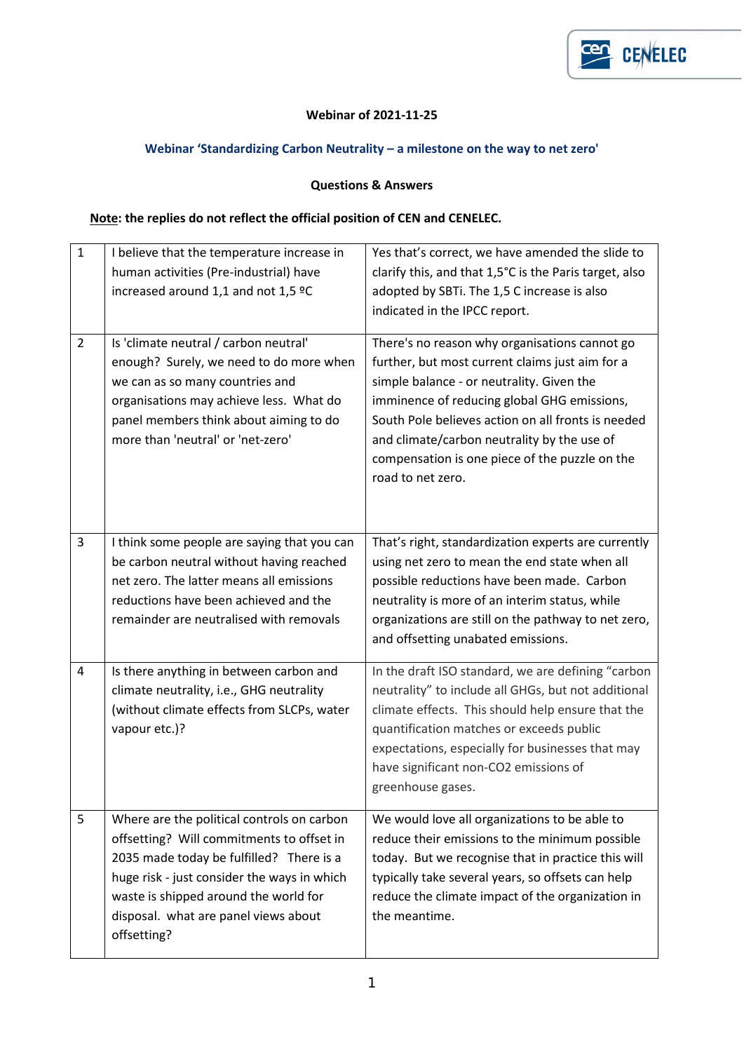

## **Webinar of 2021-11-25**

## **Webinar 'Standardizing Carbon Neutrality – a milestone on the way to net zero'**

## **Questions & Answers**

## **Note: the replies do not reflect the official position of CEN and CENELEC.**

| $\mathbf{1}$   | I believe that the temperature increase in<br>human activities (Pre-industrial) have<br>increased around 1,1 and not 1,5 °C                                                                                                                                                        | Yes that's correct, we have amended the slide to<br>clarify this, and that 1,5°C is the Paris target, also<br>adopted by SBTi. The 1,5 C increase is also<br>indicated in the IPCC report.                                                                                                                                                                               |
|----------------|------------------------------------------------------------------------------------------------------------------------------------------------------------------------------------------------------------------------------------------------------------------------------------|--------------------------------------------------------------------------------------------------------------------------------------------------------------------------------------------------------------------------------------------------------------------------------------------------------------------------------------------------------------------------|
| $\overline{2}$ | Is 'climate neutral / carbon neutral'<br>enough? Surely, we need to do more when<br>we can as so many countries and<br>organisations may achieve less. What do<br>panel members think about aiming to do<br>more than 'neutral' or 'net-zero'                                      | There's no reason why organisations cannot go<br>further, but most current claims just aim for a<br>simple balance - or neutrality. Given the<br>imminence of reducing global GHG emissions,<br>South Pole believes action on all fronts is needed<br>and climate/carbon neutrality by the use of<br>compensation is one piece of the puzzle on the<br>road to net zero. |
| 3              | I think some people are saying that you can<br>be carbon neutral without having reached<br>net zero. The latter means all emissions<br>reductions have been achieved and the<br>remainder are neutralised with removals                                                            | That's right, standardization experts are currently<br>using net zero to mean the end state when all<br>possible reductions have been made. Carbon<br>neutrality is more of an interim status, while<br>organizations are still on the pathway to net zero,<br>and offsetting unabated emissions.                                                                        |
| 4              | Is there anything in between carbon and<br>climate neutrality, i.e., GHG neutrality<br>(without climate effects from SLCPs, water<br>vapour etc.)?                                                                                                                                 | In the draft ISO standard, we are defining "carbon<br>neutrality" to include all GHGs, but not additional<br>climate effects. This should help ensure that the<br>quantification matches or exceeds public<br>expectations, especially for businesses that may<br>have significant non-CO2 emissions of<br>greenhouse gases.                                             |
| 5              | Where are the political controls on carbon<br>offsetting? Will commitments to offset in<br>2035 made today be fulfilled? There is a<br>huge risk - just consider the ways in which<br>waste is shipped around the world for<br>disposal. what are panel views about<br>offsetting? | We would love all organizations to be able to<br>reduce their emissions to the minimum possible<br>today. But we recognise that in practice this will<br>typically take several years, so offsets can help<br>reduce the climate impact of the organization in<br>the meantime.                                                                                          |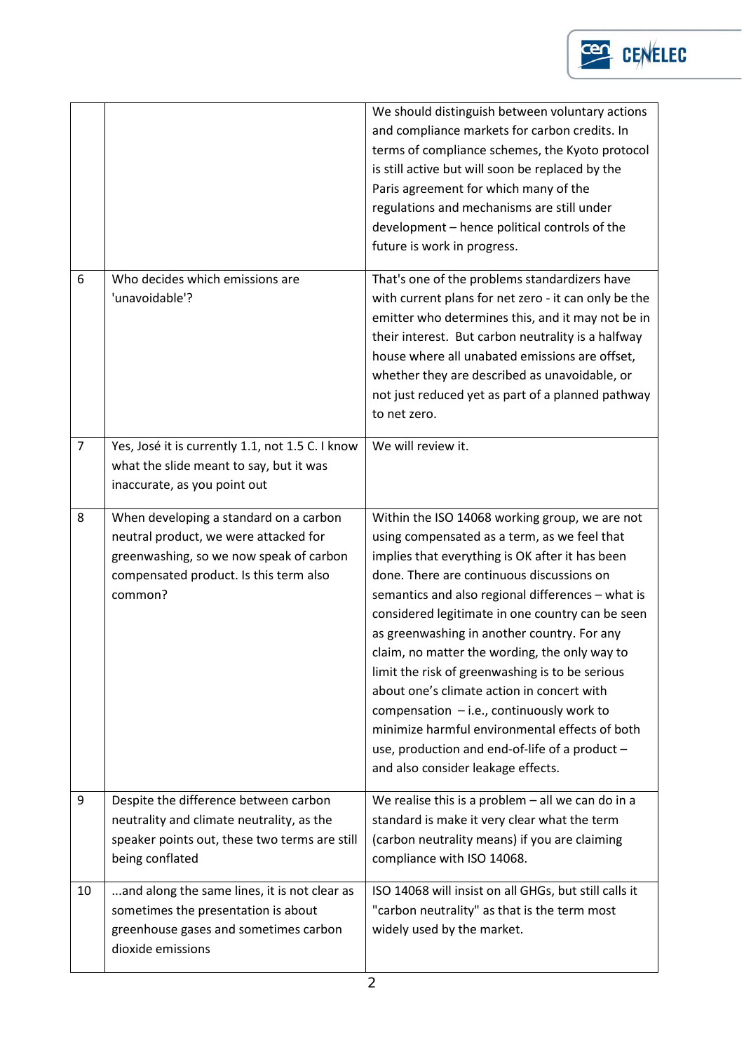

|                |                                                                                                                                                                                 | We should distinguish between voluntary actions<br>and compliance markets for carbon credits. In<br>terms of compliance schemes, the Kyoto protocol<br>is still active but will soon be replaced by the<br>Paris agreement for which many of the<br>regulations and mechanisms are still under<br>development - hence political controls of the<br>future is work in progress.                                                                                                                                                                                                                                                                                                                    |
|----------------|---------------------------------------------------------------------------------------------------------------------------------------------------------------------------------|---------------------------------------------------------------------------------------------------------------------------------------------------------------------------------------------------------------------------------------------------------------------------------------------------------------------------------------------------------------------------------------------------------------------------------------------------------------------------------------------------------------------------------------------------------------------------------------------------------------------------------------------------------------------------------------------------|
| 6              | Who decides which emissions are<br>'unavoidable'?                                                                                                                               | That's one of the problems standardizers have<br>with current plans for net zero - it can only be the<br>emitter who determines this, and it may not be in<br>their interest. But carbon neutrality is a halfway<br>house where all unabated emissions are offset,<br>whether they are described as unavoidable, or<br>not just reduced yet as part of a planned pathway<br>to net zero.                                                                                                                                                                                                                                                                                                          |
| $\overline{7}$ | Yes, José it is currently 1.1, not 1.5 C. I know<br>what the slide meant to say, but it was<br>inaccurate, as you point out                                                     | We will review it.                                                                                                                                                                                                                                                                                                                                                                                                                                                                                                                                                                                                                                                                                |
| 8              | When developing a standard on a carbon<br>neutral product, we were attacked for<br>greenwashing, so we now speak of carbon<br>compensated product. Is this term also<br>common? | Within the ISO 14068 working group, we are not<br>using compensated as a term, as we feel that<br>implies that everything is OK after it has been<br>done. There are continuous discussions on<br>semantics and also regional differences - what is<br>considered legitimate in one country can be seen<br>as greenwashing in another country. For any<br>claim, no matter the wording, the only way to<br>limit the risk of greenwashing is to be serious<br>about one's climate action in concert with<br>compensation $-$ i.e., continuously work to<br>minimize harmful environmental effects of both<br>use, production and end-of-life of a product -<br>and also consider leakage effects. |
| 9              | Despite the difference between carbon<br>neutrality and climate neutrality, as the<br>speaker points out, these two terms are still<br>being conflated                          | We realise this is a problem $-$ all we can do in a<br>standard is make it very clear what the term<br>(carbon neutrality means) if you are claiming<br>compliance with ISO 14068.                                                                                                                                                                                                                                                                                                                                                                                                                                                                                                                |
| 10             | and along the same lines, it is not clear as<br>sometimes the presentation is about<br>greenhouse gases and sometimes carbon<br>dioxide emissions                               | ISO 14068 will insist on all GHGs, but still calls it<br>"carbon neutrality" as that is the term most<br>widely used by the market.                                                                                                                                                                                                                                                                                                                                                                                                                                                                                                                                                               |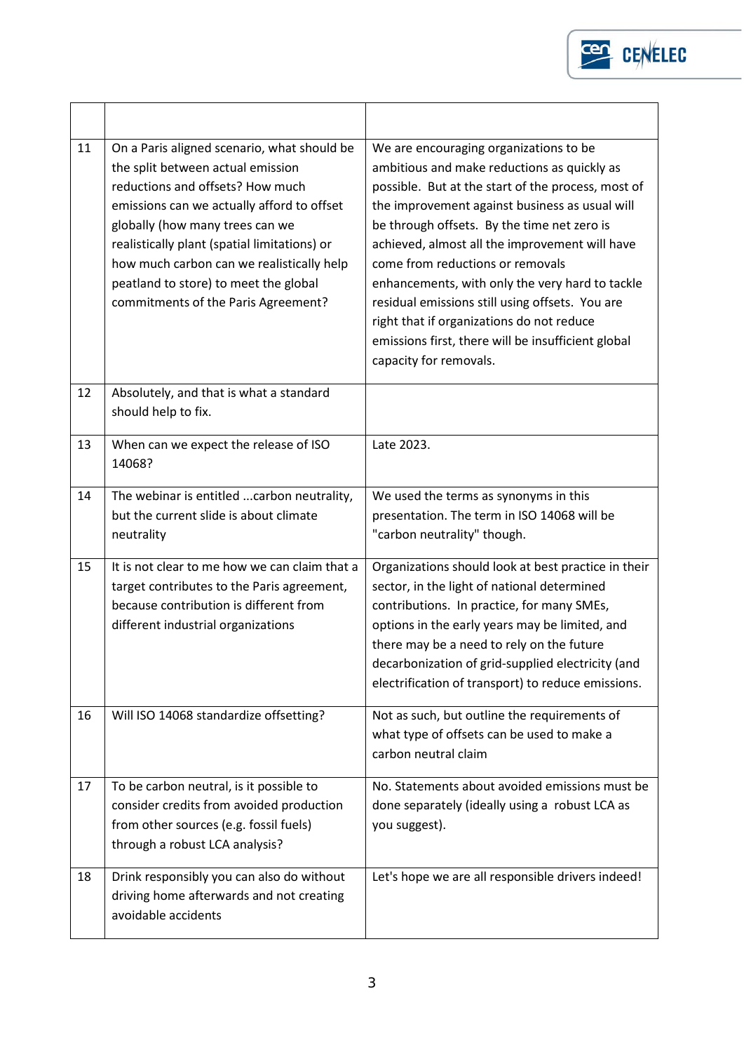

| 11 | On a Paris aligned scenario, what should be<br>the split between actual emission<br>reductions and offsets? How much<br>emissions can we actually afford to offset<br>globally (how many trees can we<br>realistically plant (spatial limitations) or<br>how much carbon can we realistically help<br>peatland to store) to meet the global<br>commitments of the Paris Agreement? | We are encouraging organizations to be<br>ambitious and make reductions as quickly as<br>possible. But at the start of the process, most of<br>the improvement against business as usual will<br>be through offsets. By the time net zero is<br>achieved, almost all the improvement will have<br>come from reductions or removals<br>enhancements, with only the very hard to tackle<br>residual emissions still using offsets. You are<br>right that if organizations do not reduce<br>emissions first, there will be insufficient global<br>capacity for removals. |
|----|------------------------------------------------------------------------------------------------------------------------------------------------------------------------------------------------------------------------------------------------------------------------------------------------------------------------------------------------------------------------------------|-----------------------------------------------------------------------------------------------------------------------------------------------------------------------------------------------------------------------------------------------------------------------------------------------------------------------------------------------------------------------------------------------------------------------------------------------------------------------------------------------------------------------------------------------------------------------|
| 12 | Absolutely, and that is what a standard<br>should help to fix.                                                                                                                                                                                                                                                                                                                     |                                                                                                                                                                                                                                                                                                                                                                                                                                                                                                                                                                       |
| 13 | When can we expect the release of ISO<br>14068?                                                                                                                                                                                                                                                                                                                                    | Late 2023.                                                                                                                                                                                                                                                                                                                                                                                                                                                                                                                                                            |
| 14 | The webinar is entitled carbon neutrality,<br>but the current slide is about climate<br>neutrality                                                                                                                                                                                                                                                                                 | We used the terms as synonyms in this<br>presentation. The term in ISO 14068 will be<br>"carbon neutrality" though.                                                                                                                                                                                                                                                                                                                                                                                                                                                   |
| 15 | It is not clear to me how we can claim that a<br>target contributes to the Paris agreement,<br>because contribution is different from<br>different industrial organizations                                                                                                                                                                                                        | Organizations should look at best practice in their<br>sector, in the light of national determined<br>contributions. In practice, for many SMEs,<br>options in the early years may be limited, and<br>there may be a need to rely on the future<br>decarbonization of grid-supplied electricity (and<br>electrification of transport) to reduce emissions.                                                                                                                                                                                                            |
| 16 | Will ISO 14068 standardize offsetting?                                                                                                                                                                                                                                                                                                                                             | Not as such, but outline the requirements of<br>what type of offsets can be used to make a<br>carbon neutral claim                                                                                                                                                                                                                                                                                                                                                                                                                                                    |
| 17 | To be carbon neutral, is it possible to<br>consider credits from avoided production<br>from other sources (e.g. fossil fuels)<br>through a robust LCA analysis?                                                                                                                                                                                                                    | No. Statements about avoided emissions must be<br>done separately (ideally using a robust LCA as<br>you suggest).                                                                                                                                                                                                                                                                                                                                                                                                                                                     |
| 18 | Drink responsibly you can also do without<br>driving home afterwards and not creating<br>avoidable accidents                                                                                                                                                                                                                                                                       | Let's hope we are all responsible drivers indeed!                                                                                                                                                                                                                                                                                                                                                                                                                                                                                                                     |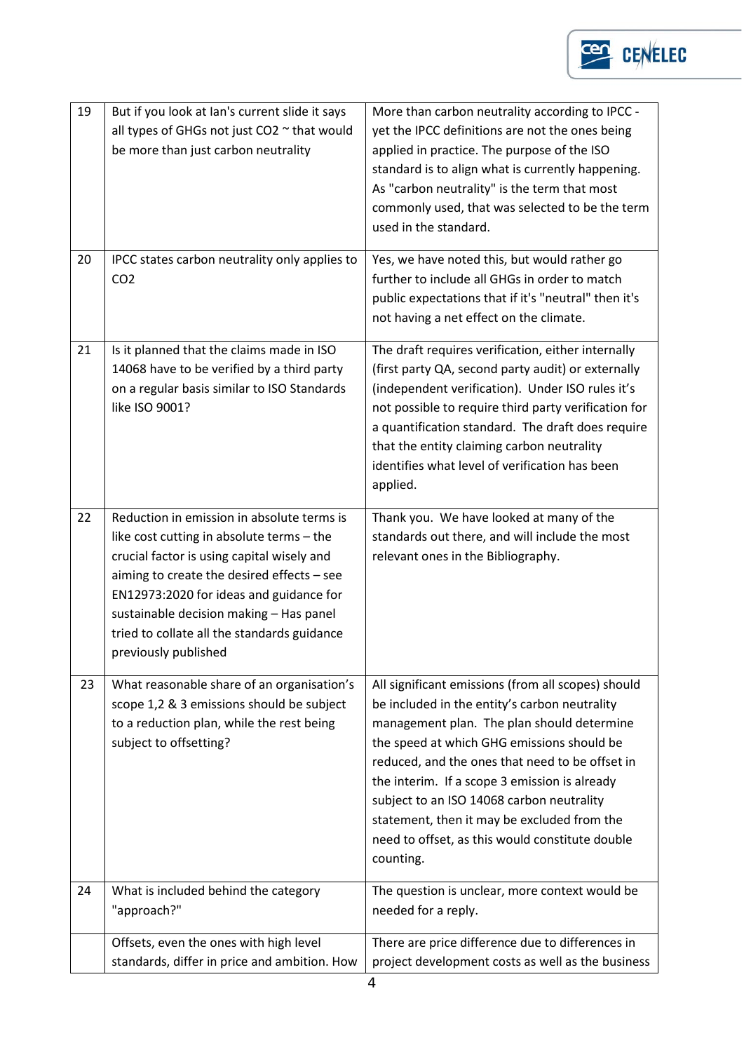

| 19<br>20 | But if you look at Ian's current slide it says<br>all types of GHGs not just CO2 ~ that would<br>be more than just carbon neutrality<br>IPCC states carbon neutrality only applies to<br>CO <sub>2</sub>                                                                                                                                         | More than carbon neutrality according to IPCC -<br>yet the IPCC definitions are not the ones being<br>applied in practice. The purpose of the ISO<br>standard is to align what is currently happening.<br>As "carbon neutrality" is the term that most<br>commonly used, that was selected to be the term<br>used in the standard.<br>Yes, we have noted this, but would rather go<br>further to include all GHGs in order to match<br>public expectations that if it's "neutral" then it's<br>not having a net effect on the climate. |
|----------|--------------------------------------------------------------------------------------------------------------------------------------------------------------------------------------------------------------------------------------------------------------------------------------------------------------------------------------------------|----------------------------------------------------------------------------------------------------------------------------------------------------------------------------------------------------------------------------------------------------------------------------------------------------------------------------------------------------------------------------------------------------------------------------------------------------------------------------------------------------------------------------------------|
| 21       | Is it planned that the claims made in ISO<br>14068 have to be verified by a third party<br>on a regular basis similar to ISO Standards<br>like ISO 9001?                                                                                                                                                                                         | The draft requires verification, either internally<br>(first party QA, second party audit) or externally<br>(independent verification). Under ISO rules it's<br>not possible to require third party verification for<br>a quantification standard. The draft does require<br>that the entity claiming carbon neutrality<br>identifies what level of verification has been<br>applied.                                                                                                                                                  |
| 22       | Reduction in emission in absolute terms is<br>like cost cutting in absolute terms - the<br>crucial factor is using capital wisely and<br>aiming to create the desired effects - see<br>EN12973:2020 for ideas and guidance for<br>sustainable decision making - Has panel<br>tried to collate all the standards guidance<br>previously published | Thank you. We have looked at many of the<br>standards out there, and will include the most<br>relevant ones in the Bibliography.                                                                                                                                                                                                                                                                                                                                                                                                       |
| 23       | What reasonable share of an organisation's<br>scope 1,2 & 3 emissions should be subject<br>to a reduction plan, while the rest being<br>subject to offsetting?                                                                                                                                                                                   | All significant emissions (from all scopes) should<br>be included in the entity's carbon neutrality<br>management plan. The plan should determine<br>the speed at which GHG emissions should be<br>reduced, and the ones that need to be offset in<br>the interim. If a scope 3 emission is already<br>subject to an ISO 14068 carbon neutrality<br>statement, then it may be excluded from the<br>need to offset, as this would constitute double<br>counting.                                                                        |
| 24       | What is included behind the category<br>"approach?"                                                                                                                                                                                                                                                                                              | The question is unclear, more context would be<br>needed for a reply.                                                                                                                                                                                                                                                                                                                                                                                                                                                                  |
|          | Offsets, even the ones with high level<br>standards, differ in price and ambition. How                                                                                                                                                                                                                                                           | There are price difference due to differences in<br>project development costs as well as the business                                                                                                                                                                                                                                                                                                                                                                                                                                  |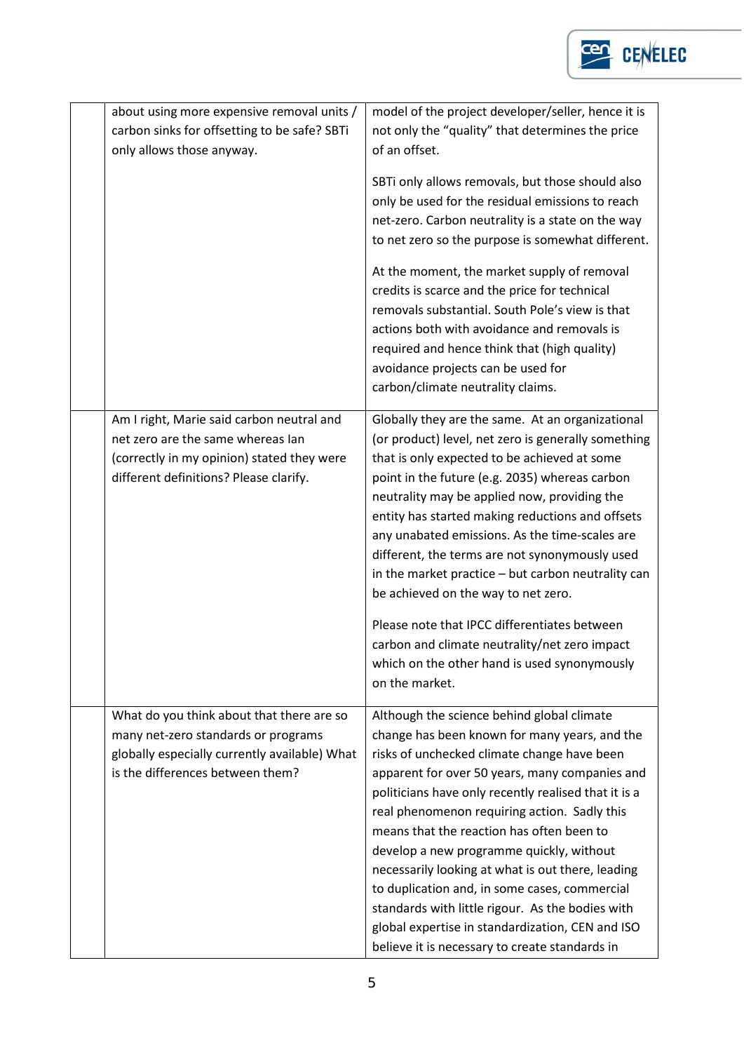

| about using more expensive removal units /<br>carbon sinks for offsetting to be safe? SBTi<br>only allows those anyway.                                                | model of the project developer/seller, hence it is<br>not only the "quality" that determines the price<br>of an offset.                                                                                                                                                                                                                                                                                                                                                                                                                                                                                                                                                           |
|------------------------------------------------------------------------------------------------------------------------------------------------------------------------|-----------------------------------------------------------------------------------------------------------------------------------------------------------------------------------------------------------------------------------------------------------------------------------------------------------------------------------------------------------------------------------------------------------------------------------------------------------------------------------------------------------------------------------------------------------------------------------------------------------------------------------------------------------------------------------|
|                                                                                                                                                                        | SBTi only allows removals, but those should also<br>only be used for the residual emissions to reach<br>net-zero. Carbon neutrality is a state on the way<br>to net zero so the purpose is somewhat different.                                                                                                                                                                                                                                                                                                                                                                                                                                                                    |
|                                                                                                                                                                        | At the moment, the market supply of removal<br>credits is scarce and the price for technical<br>removals substantial. South Pole's view is that<br>actions both with avoidance and removals is<br>required and hence think that (high quality)<br>avoidance projects can be used for<br>carbon/climate neutrality claims.                                                                                                                                                                                                                                                                                                                                                         |
| Am I right, Marie said carbon neutral and<br>net zero are the same whereas lan<br>(correctly in my opinion) stated they were<br>different definitions? Please clarify. | Globally they are the same. At an organizational<br>(or product) level, net zero is generally something<br>that is only expected to be achieved at some<br>point in the future (e.g. 2035) whereas carbon<br>neutrality may be applied now, providing the<br>entity has started making reductions and offsets<br>any unabated emissions. As the time-scales are<br>different, the terms are not synonymously used<br>in the market practice - but carbon neutrality can<br>be achieved on the way to net zero.<br>Please note that IPCC differentiates between<br>carbon and climate neutrality/net zero impact<br>which on the other hand is used synonymously<br>on the market. |
| What do you think about that there are so<br>many net-zero standards or programs<br>globally especially currently available) What<br>is the differences between them?  | Although the science behind global climate<br>change has been known for many years, and the<br>risks of unchecked climate change have been<br>apparent for over 50 years, many companies and<br>politicians have only recently realised that it is a<br>real phenomenon requiring action. Sadly this<br>means that the reaction has often been to<br>develop a new programme quickly, without<br>necessarily looking at what is out there, leading<br>to duplication and, in some cases, commercial<br>standards with little rigour. As the bodies with<br>global expertise in standardization, CEN and ISO<br>believe it is necessary to create standards in                     |